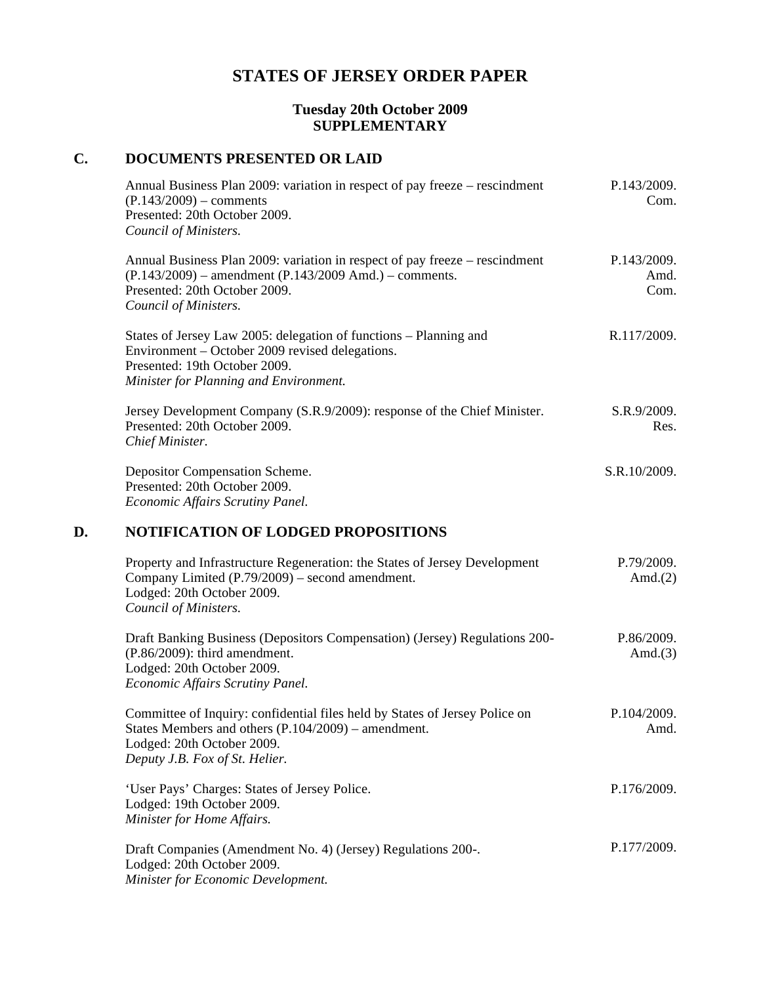## **STATES OF JERSEY ORDER PAPER**

## **Tuesday 20th October 2009 SUPPLEMENTARY**

## **C. DOCUMENTS PRESENTED OR LAID**

|    | Annual Business Plan 2009: variation in respect of pay freeze – rescindment<br>$(P.143/2009)$ – comments<br>Presented: 20th October 2009.<br>Council of Ministers.                                  | P.143/2009.<br>Com.         |
|----|-----------------------------------------------------------------------------------------------------------------------------------------------------------------------------------------------------|-----------------------------|
|    | Annual Business Plan 2009: variation in respect of pay freeze – rescindment<br>$(P.143/2009)$ – amendment $(P.143/2009$ Amd.) – comments.<br>Presented: 20th October 2009.<br>Council of Ministers. | P.143/2009.<br>Amd.<br>Com. |
|    | States of Jersey Law 2005: delegation of functions - Planning and<br>Environment – October 2009 revised delegations.<br>Presented: 19th October 2009.<br>Minister for Planning and Environment.     | R.117/2009.                 |
|    | Jersey Development Company (S.R.9/2009): response of the Chief Minister.<br>Presented: 20th October 2009.<br>Chief Minister.                                                                        | S.R.9/2009.<br>Res.         |
|    | Depositor Compensation Scheme.<br>Presented: 20th October 2009.<br>Economic Affairs Scrutiny Panel.                                                                                                 | S.R.10/2009.                |
| D. | <b>NOTIFICATION OF LODGED PROPOSITIONS</b>                                                                                                                                                          |                             |
|    | Property and Infrastructure Regeneration: the States of Jersey Development<br>Company Limited (P.79/2009) - second amendment.<br>Lodged: 20th October 2009.<br>Council of Ministers.                | P.79/2009.<br>Amd. $(2)$    |
|    | Draft Banking Business (Depositors Compensation) (Jersey) Regulations 200-<br>$(P.86/2009)$ : third amendment.<br>Lodged: 20th October 2009.<br>Economic Affairs Scrutiny Panel.                    | P.86/2009.<br>Amd. $(3)$    |
|    | Committee of Inquiry: confidential files held by States of Jersey Police on<br>States Members and others (P.104/2009) – amendment.<br>Lodged: 20th October 2009.<br>Deputy J.B. Fox of St. Helier.  | P.104/2009.<br>Amd.         |
|    | 'User Pays' Charges: States of Jersey Police.<br>Lodged: 19th October 2009.<br>Minister for Home Affairs.                                                                                           | P.176/2009.                 |
|    | Draft Companies (Amendment No. 4) (Jersey) Regulations 200-.<br>Lodged: 20th October 2009.<br>Minister for Economic Development.                                                                    | P.177/2009.                 |